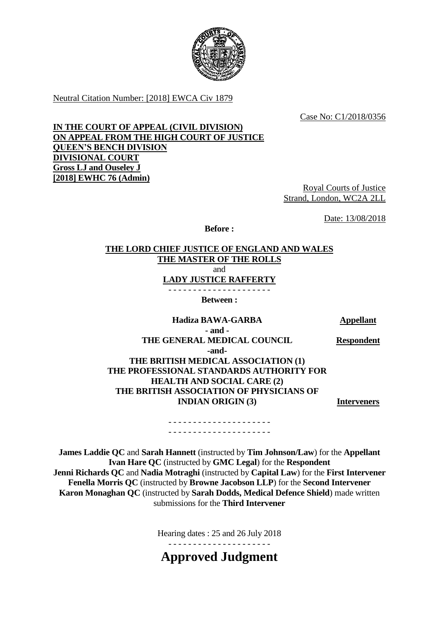

Neutral Citation Number: [2018] EWCA Civ 1879

Case No: C1/2018/0356

**IN THE COURT OF APPEAL (CIVIL DIVISION) ON APPEAL FROM THE HIGH COURT OF JUSTICE QUEEN'S BENCH DIVISION DIVISIONAL COURT Gross LJ and Ouseley J [2018] EWHC 76 (Admin)**

Royal Courts of Justice Strand, London, WC2A 2LL

Date: 13/08/2018

**Before :**

# **THE LORD CHIEF JUSTICE OF ENGLAND AND WALES THE MASTER OF THE ROLLS** and **LADY JUSTICE RAFFERTY** - - - - - - - - - - - - - - - - - - - - - **Between :**

**Hadiza BAWA-GARBA Appellant - and - THE GENERAL MEDICAL COUNCIL**

**Respondent**

**-and-**

**THE BRITISH MEDICAL ASSOCIATION (1) THE PROFESSIONAL STANDARDS AUTHORITY FOR HEALTH AND SOCIAL CARE (2) THE BRITISH ASSOCIATION OF PHYSICIANS OF** 

**INDIAN ORIGIN (3)**

**Interveners**

- - - - - - - - - - - - - - - - - - - - - - - - - - - - - - - - - - - - - - - - - -

**James Laddie QC** and **Sarah Hannett** (instructed by **Tim Johnson/Law**) for the **Appellant Ivan Hare QC** (instructed by **GMC Legal**) for the **Respondent Jenni Richards QC** and **Nadia Motraghi** (instructed by **Capital Law**) for the **First Intervener Fenella Morris QC** (instructed by **Browne Jacobson LLP**) for the **Second Intervener Karon Monaghan QC** (instructed by **Sarah Dodds, Medical Defence Shield**) made written submissions for the **Third Intervener**

Hearing dates : 25 and 26 July 2018

- - - - - - - - - - - - - - - - - - - - -

**Approved Judgment**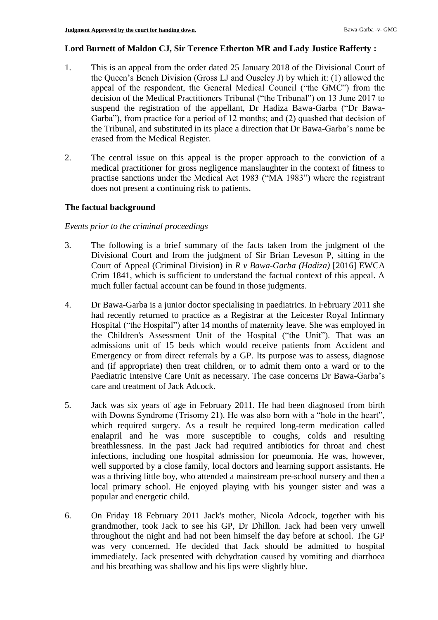#### **Lord Burnett of Maldon CJ, Sir Terence Etherton MR and Lady Justice Rafferty :**

- 1. This is an appeal from the order dated 25 January 2018 of the Divisional Court of the Queen's Bench Division (Gross LJ and Ouseley J) by which it: (1) allowed the appeal of the respondent, the General Medical Council ("the GMC") from the decision of the Medical Practitioners Tribunal ("the Tribunal") on 13 June 2017 to suspend the registration of the appellant, Dr Hadiza Bawa-Garba ("Dr Bawa-Garba"), from practice for a period of 12 months; and (2) quashed that decision of the Tribunal, and substituted in its place a direction that Dr Bawa-Garba's name be erased from the Medical Register.
- 2. The central issue on this appeal is the proper approach to the conviction of a medical practitioner for gross negligence manslaughter in the context of fitness to practise sanctions under the Medical Act 1983 ("MA 1983") where the registrant does not present a continuing risk to patients.

# **The factual background**

## *Events prior to the criminal proceedings*

- 3. The following is a brief summary of the facts taken from the judgment of the Divisional Court and from the judgment of Sir Brian Leveson P, sitting in the Court of Appeal (Criminal Division) in *R v Bawa-Garba (Hadiza)* [2016] EWCA Crim 1841, which is sufficient to understand the factual context of this appeal. A much fuller factual account can be found in those judgments.
- 4. Dr Bawa-Garba is a junior doctor specialising in paediatrics. In February 2011 she had recently returned to practice as a Registrar at the Leicester Royal Infirmary Hospital ("the Hospital") after 14 months of maternity leave. She was employed in the Children's Assessment Unit of the Hospital ("the Unit"). That was an admissions unit of 15 beds which would receive patients from Accident and Emergency or from direct referrals by a GP. Its purpose was to assess, diagnose and (if appropriate) then treat children, or to admit them onto a ward or to the Paediatric Intensive Care Unit as necessary. The case concerns Dr Bawa-Garba's care and treatment of Jack Adcock.
- 5. Jack was six years of age in February 2011. He had been diagnosed from birth with Downs Syndrome (Trisomy 21). He was also born with a "hole in the heart", which required surgery. As a result he required long-term medication called enalapril and he was more susceptible to coughs, colds and resulting breathlessness. In the past Jack had required antibiotics for throat and chest infections, including one hospital admission for pneumonia. He was, however, well supported by a close family, local doctors and learning support assistants. He was a thriving little boy, who attended a mainstream pre-school nursery and then a local primary school. He enjoyed playing with his younger sister and was a popular and energetic child.
- 6. On Friday 18 February 2011 Jack's mother, Nicola Adcock, together with his grandmother, took Jack to see his GP, Dr Dhillon. Jack had been very unwell throughout the night and had not been himself the day before at school. The GP was very concerned. He decided that Jack should be admitted to hospital immediately. Jack presented with dehydration caused by vomiting and diarrhoea and his breathing was shallow and his lips were slightly blue.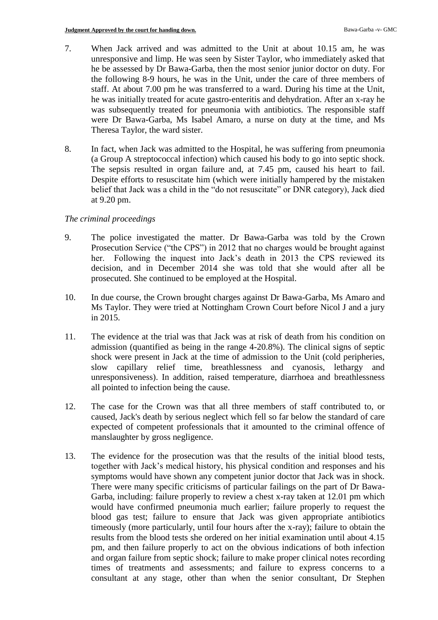- 7. When Jack arrived and was admitted to the Unit at about 10.15 am, he was unresponsive and limp. He was seen by Sister Taylor, who immediately asked that he be assessed by Dr Bawa-Garba, then the most senior junior doctor on duty. For the following 8-9 hours, he was in the Unit, under the care of three members of staff. At about 7.00 pm he was transferred to a ward. During his time at the Unit, he was initially treated for acute gastro-enteritis and dehydration. After an x-ray he was subsequently treated for pneumonia with antibiotics. The responsible staff were Dr Bawa-Garba, Ms Isabel Amaro, a nurse on duty at the time, and Ms Theresa Taylor, the ward sister.
- 8. In fact, when Jack was admitted to the Hospital, he was suffering from pneumonia (a Group A streptococcal infection) which caused his body to go into septic shock. The sepsis resulted in organ failure and, at 7.45 pm, caused his heart to fail. Despite efforts to resuscitate him (which were initially hampered by the mistaken belief that Jack was a child in the "do not resuscitate" or DNR category), Jack died at 9.20 pm.

# *The criminal proceedings*

- 9. The police investigated the matter. Dr Bawa-Garba was told by the Crown Prosecution Service ("the CPS") in 2012 that no charges would be brought against her. Following the inquest into Jack's death in 2013 the CPS reviewed its decision, and in December 2014 she was told that she would after all be prosecuted. She continued to be employed at the Hospital.
- 10. In due course, the Crown brought charges against Dr Bawa-Garba, Ms Amaro and Ms Taylor. They were tried at Nottingham Crown Court before Nicol J and a jury in 2015.
- 11. The evidence at the trial was that Jack was at risk of death from his condition on admission (quantified as being in the range 4-20.8%). The clinical signs of septic shock were present in Jack at the time of admission to the Unit (cold peripheries, slow capillary relief time, breathlessness and cyanosis, lethargy and unresponsiveness). In addition, raised temperature, diarrhoea and breathlessness all pointed to infection being the cause.
- 12. The case for the Crown was that all three members of staff contributed to, or caused, Jack's death by serious neglect which fell so far below the standard of care expected of competent professionals that it amounted to the criminal offence of manslaughter by gross negligence.
- 13. The evidence for the prosecution was that the results of the initial blood tests, together with Jack's medical history, his physical condition and responses and his symptoms would have shown any competent junior doctor that Jack was in shock. There were many specific criticisms of particular failings on the part of Dr Bawa-Garba, including: failure properly to review a chest x-ray taken at 12.01 pm which would have confirmed pneumonia much earlier; failure properly to request the blood gas test; failure to ensure that Jack was given appropriate antibiotics timeously (more particularly, until four hours after the x-ray); failure to obtain the results from the blood tests she ordered on her initial examination until about 4.15 pm, and then failure properly to act on the obvious indications of both infection and organ failure from septic shock; failure to make proper clinical notes recording times of treatments and assessments; and failure to express concerns to a consultant at any stage, other than when the senior consultant, Dr Stephen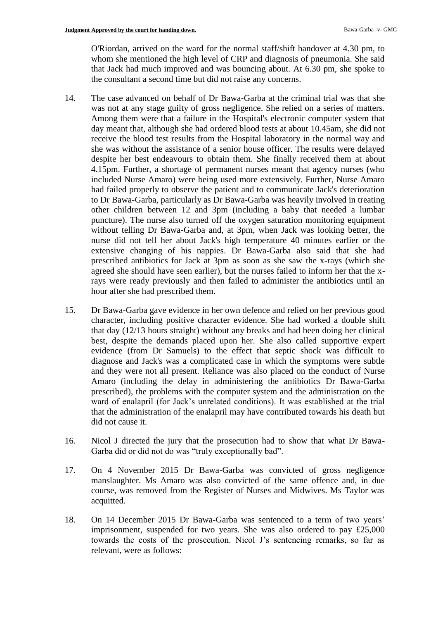O'Riordan, arrived on the ward for the normal staff/shift handover at 4.30 pm, to whom she mentioned the high level of CRP and diagnosis of pneumonia. She said that Jack had much improved and was bouncing about. At 6.30 pm, she spoke to the consultant a second time but did not raise any concerns.

- 14. The case advanced on behalf of Dr Bawa-Garba at the criminal trial was that she was not at any stage guilty of gross negligence. She relied on a series of matters. Among them were that a failure in the Hospital's electronic computer system that day meant that, although she had ordered blood tests at about 10.45am, she did not receive the blood test results from the Hospital laboratory in the normal way and she was without the assistance of a senior house officer. The results were delayed despite her best endeavours to obtain them. She finally received them at about 4.15pm. Further, a shortage of permanent nurses meant that agency nurses (who included Nurse Amaro) were being used more extensively. Further, Nurse Amaro had failed properly to observe the patient and to communicate Jack's deterioration to Dr Bawa-Garba, particularly as Dr Bawa-Garba was heavily involved in treating other children between 12 and 3pm (including a baby that needed a lumbar puncture). The nurse also turned off the oxygen saturation monitoring equipment without telling Dr Bawa-Garba and, at 3pm, when Jack was looking better, the nurse did not tell her about Jack's high temperature 40 minutes earlier or the extensive changing of his nappies. Dr Bawa-Garba also said that she had prescribed antibiotics for Jack at 3pm as soon as she saw the x-rays (which she agreed she should have seen earlier), but the nurses failed to inform her that the xrays were ready previously and then failed to administer the antibiotics until an hour after she had prescribed them.
- 15. Dr Bawa-Garba gave evidence in her own defence and relied on her previous good character, including positive character evidence. She had worked a double shift that day (12/13 hours straight) without any breaks and had been doing her clinical best, despite the demands placed upon her. She also called supportive expert evidence (from Dr Samuels) to the effect that septic shock was difficult to diagnose and Jack's was a complicated case in which the symptoms were subtle and they were not all present. Reliance was also placed on the conduct of Nurse Amaro (including the delay in administering the antibiotics Dr Bawa-Garba prescribed), the problems with the computer system and the administration on the ward of enalapril (for Jack's unrelated conditions). It was established at the trial that the administration of the enalapril may have contributed towards his death but did not cause it.
- 16. Nicol J directed the jury that the prosecution had to show that what Dr Bawa-Garba did or did not do was "truly exceptionally bad".
- 17. On 4 November 2015 Dr Bawa-Garba was convicted of gross negligence manslaughter. Ms Amaro was also convicted of the same offence and, in due course, was removed from the Register of Nurses and Midwives. Ms Taylor was acquitted.
- 18. On 14 December 2015 Dr Bawa-Garba was sentenced to a term of two years' imprisonment, suspended for two years. She was also ordered to pay £25,000 towards the costs of the prosecution. Nicol J's sentencing remarks, so far as relevant, were as follows: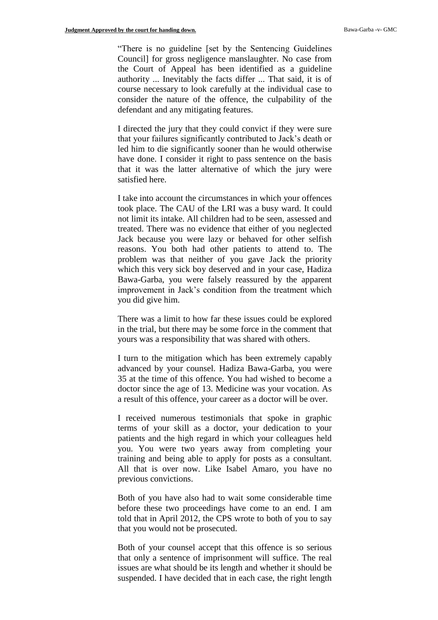"There is no guideline [set by the Sentencing Guidelines Council] for gross negligence manslaughter. No case from the Court of Appeal has been identified as a guideline authority ... Inevitably the facts differ ... That said, it is of course necessary to look carefully at the individual case to consider the nature of the offence, the culpability of the defendant and any mitigating features.

I directed the jury that they could convict if they were sure that your failures significantly contributed to Jack's death or led him to die significantly sooner than he would otherwise have done. I consider it right to pass sentence on the basis that it was the latter alternative of which the jury were satisfied here.

I take into account the circumstances in which your offences took place. The CAU of the LRI was a busy ward. It could not limit its intake. All children had to be seen, assessed and treated. There was no evidence that either of you neglected Jack because you were lazy or behaved for other selfish reasons. You both had other patients to attend to. The problem was that neither of you gave Jack the priority which this very sick boy deserved and in your case, Hadiza Bawa-Garba, you were falsely reassured by the apparent improvement in Jack's condition from the treatment which you did give him.

There was a limit to how far these issues could be explored in the trial, but there may be some force in the comment that yours was a responsibility that was shared with others.

I turn to the mitigation which has been extremely capably advanced by your counsel. Hadiza Bawa-Garba, you were 35 at the time of this offence. You had wished to become a doctor since the age of 13. Medicine was your vocation. As a result of this offence, your career as a doctor will be over.

I received numerous testimonials that spoke in graphic terms of your skill as a doctor, your dedication to your patients and the high regard in which your colleagues held you. You were two years away from completing your training and being able to apply for posts as a consultant. All that is over now. Like Isabel Amaro, you have no previous convictions.

Both of you have also had to wait some considerable time before these two proceedings have come to an end. I am told that in April 2012, the CPS wrote to both of you to say that you would not be prosecuted.

Both of your counsel accept that this offence is so serious that only a sentence of imprisonment will suffice. The real issues are what should be its length and whether it should be suspended. I have decided that in each case, the right length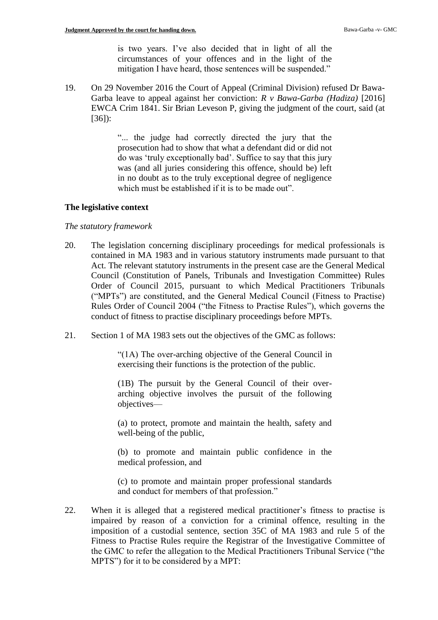is two years. I've also decided that in light of all the circumstances of your offences and in the light of the mitigation I have heard, those sentences will be suspended."

19. On 29 November 2016 the Court of Appeal (Criminal Division) refused Dr Bawa-Garba leave to appeal against her conviction: *R v Bawa-Garba (Hadiza)* [2016] EWCA Crim 1841. Sir Brian Leveson P, giving the judgment of the court, said (at [36]):

> "... the judge had correctly directed the jury that the prosecution had to show that what a defendant did or did not do was 'truly exceptionally bad'. Suffice to say that this jury was (and all juries considering this offence, should be) left in no doubt as to the truly exceptional degree of negligence which must be established if it is to be made out".

# **The legislative context**

## *The statutory framework*

- 20. The legislation concerning disciplinary proceedings for medical professionals is contained in MA 1983 and in various statutory instruments made pursuant to that Act. The relevant statutory instruments in the present case are the General Medical Council (Constitution of Panels, Tribunals and Investigation Committee) Rules Order of Council 2015, pursuant to which Medical Practitioners Tribunals ("MPTs") are constituted, and the General Medical Council (Fitness to Practise) Rules Order of Council 2004 ("the Fitness to Practise Rules"), which governs the conduct of fitness to practise disciplinary proceedings before MPTs.
- 21. Section 1 of MA 1983 sets out the objectives of the GMC as follows:

"(1A) The over-arching objective of the General Council in exercising their functions is the protection of the public.

(1B) The pursuit by the General Council of their overarching objective involves the pursuit of the following objectives—

(a) to protect, promote and maintain the health, safety and well-being of the public,

(b) to promote and maintain public confidence in the medical profession, and

(c) to promote and maintain proper professional standards and conduct for members of that profession."

22. When it is alleged that a registered medical practitioner's fitness to practise is impaired by reason of a conviction for a criminal offence, resulting in the imposition of a custodial sentence, section 35C of MA 1983 and rule 5 of the Fitness to Practise Rules require the Registrar of the Investigative Committee of the GMC to refer the allegation to the Medical Practitioners Tribunal Service ("the MPTS") for it to be considered by a MPT: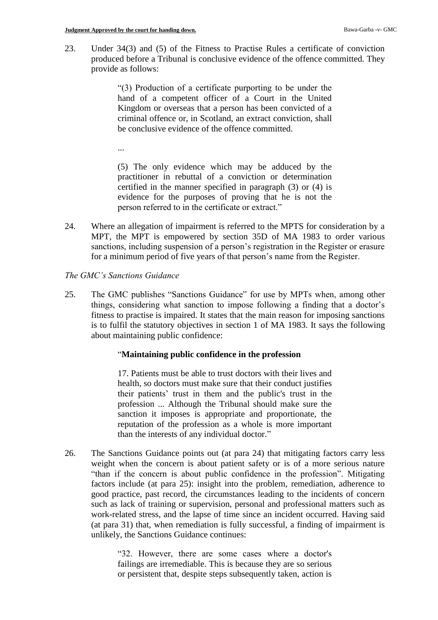23. Under 34(3) and (5) of the Fitness to Practise Rules a certificate of conviction produced before a Tribunal is conclusive evidence of the offence committed. They provide as follows:

> "(3) Production of a certificate purporting to be under the hand of a competent officer of a Court in the United Kingdom or overseas that a person has been convicted of a criminal offence or, in Scotland, an extract conviction, shall be conclusive evidence of the offence committed.

> (5) The only evidence which may be adduced by the practitioner in rebuttal of a conviction or determination certified in the manner specified in paragraph (3) or (4) is evidence for the purposes of proving that he is not the person referred to in the certificate or extract."

24. Where an allegation of impairment is referred to the MPTS for consideration by a MPT, the MPT is empowered by section 35D of MA 1983 to order various sanctions, including suspension of a person's registration in the Register or erasure for a minimum period of five years of that person's name from the Register.

# *The GMC's Sanctions Guidance*

...

25. The GMC publishes "Sanctions Guidance" for use by MPTs when, among other things, considering what sanction to impose following a finding that a doctor's fitness to practise is impaired. It states that the main reason for imposing sanctions is to fulfil the statutory objectives in section 1 of MA 1983. It says the following about maintaining public confidence:

## "**Maintaining public confidence in the profession**

17. Patients must be able to trust doctors with their lives and health, so doctors must make sure that their conduct justifies their patients' trust in them and the public's trust in the profession ... Although the Tribunal should make sure the sanction it imposes is appropriate and proportionate, the reputation of the profession as a whole is more important than the interests of any individual doctor."

26. The Sanctions Guidance points out (at para 24) that mitigating factors carry less weight when the concern is about patient safety or is of a more serious nature "than if the concern is about public confidence in the profession". Mitigating factors include (at para 25): insight into the problem, remediation, adherence to good practice, past record, the circumstances leading to the incidents of concern such as lack of training or supervision, personal and professional matters such as work-related stress, and the lapse of time since an incident occurred. Having said (at para 31) that, when remediation is fully successful, a finding of impairment is unlikely, the Sanctions Guidance continues:

> "32. However, there are some cases where a doctor's failings are irremediable. This is because they are so serious or persistent that, despite steps subsequently taken, action is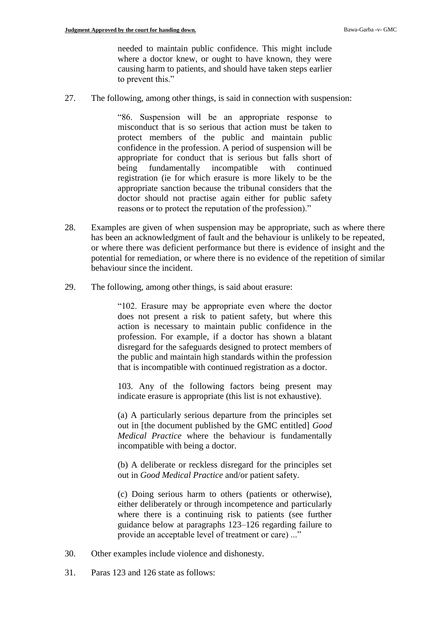needed to maintain public confidence. This might include where a doctor knew, or ought to have known, they were causing harm to patients, and should have taken steps earlier to prevent this."

27. The following, among other things, is said in connection with suspension:

"86. Suspension will be an appropriate response to misconduct that is so serious that action must be taken to protect members of the public and maintain public confidence in the profession. A period of suspension will be appropriate for conduct that is serious but falls short of being fundamentally incompatible with continued registration (ie for which erasure is more likely to be the appropriate sanction because the tribunal considers that the doctor should not practise again either for public safety reasons or to protect the reputation of the profession)."

- 28. Examples are given of when suspension may be appropriate, such as where there has been an acknowledgment of fault and the behaviour is unlikely to be repeated, or where there was deficient performance but there is evidence of insight and the potential for remediation, or where there is no evidence of the repetition of similar behaviour since the incident.
- 29. The following, among other things, is said about erasure:

"102. Erasure may be appropriate even where the doctor does not present a risk to patient safety, but where this action is necessary to maintain public confidence in the profession. For example, if a doctor has shown a blatant disregard for the safeguards designed to protect members of the public and maintain high standards within the profession that is incompatible with continued registration as a doctor.

103. Any of the following factors being present may indicate erasure is appropriate (this list is not exhaustive).

(a) A particularly serious departure from the principles set out in [the document published by the GMC entitled] *Good Medical Practice* where the behaviour is fundamentally incompatible with being a doctor.

(b) A deliberate or reckless disregard for the principles set out in *Good Medical Practice* and/or patient safety.

(c) Doing serious harm to others (patients or otherwise), either deliberately or through incompetence and particularly where there is a continuing risk to patients (see further guidance below at paragraphs 123–126 regarding failure to provide an acceptable level of treatment or care) ..."

- 30. Other examples include violence and dishonesty.
- 31. Paras 123 and 126 state as follows: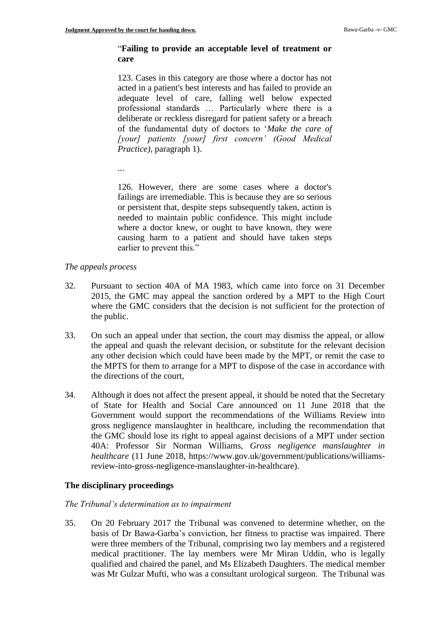## "**Failing to provide an acceptable level of treatment or care**

123. Cases in this category are those where a doctor has not acted in a patient's best interests and has failed to provide an adequate level of care, falling well below expected professional standards … Particularly where there is a deliberate or reckless disregard for patient safety or a breach of the fundamental duty of doctors to '*Make the care of [your] patients [your] first concern' (Good Medical Practice)*, paragraph 1).

...

126. However, there are some cases where a doctor's failings are irremediable. This is because they are so serious or persistent that, despite steps subsequently taken, action is needed to maintain public confidence. This might include where a doctor knew, or ought to have known, they were causing harm to a patient and should have taken steps earlier to prevent this."

#### *The appeals process*

- 32. Pursuant to section 40A of MA 1983, which came into force on 31 December 2015, the GMC may appeal the sanction ordered by a MPT to the High Court where the GMC considers that the decision is not sufficient for the protection of the public.
- 33. On such an appeal under that section, the court may dismiss the appeal, or allow the appeal and quash the relevant decision, or substitute for the relevant decision any other decision which could have been made by the MPT, or remit the case to the MPTS for them to arrange for a MPT to dispose of the case in accordance with the directions of the court,
- 34. Although it does not affect the present appeal, it should be noted that the Secretary of State for Health and Social Care announced on 11 June 2018 that the Government would support the recommendations of the Williams Review into gross negligence manslaughter in healthcare, including the recommendation that the GMC should lose its right to appeal against decisions of a MPT under section 40A: Professor Sir Norman Williams, *Gross negligence manslaughter in healthcare* (11 June 2018, https://www.gov.uk/government/publications/williamsreview-into-gross-negligence-manslaughter-in-healthcare).

## **The disciplinary proceedings**

## *The Tribunal's determination as to impairment*

35. On 20 February 2017 the Tribunal was convened to determine whether, on the basis of Dr Bawa-Garba's conviction, her fitness to practise was impaired. There were three members of the Tribunal, comprising two lay members and a registered medical practitioner. The lay members were Mr Miran Uddin, who is legally qualified and chaired the panel, and Ms Elizabeth Daughters. The medical member was Mr Gulzar Mufti, who was a consultant urological surgeon. The Tribunal was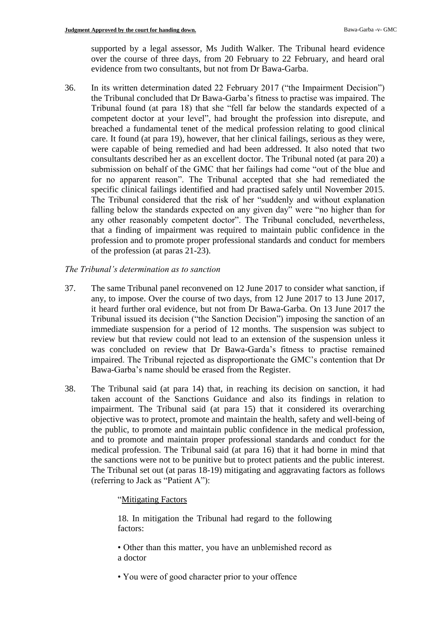supported by a legal assessor, Ms Judith Walker. The Tribunal heard evidence over the course of three days, from 20 February to 22 February, and heard oral evidence from two consultants, but not from Dr Bawa-Garba.

36. In its written determination dated 22 February 2017 ("the Impairment Decision") the Tribunal concluded that Dr Bawa-Garba's fitness to practise was impaired. The Tribunal found (at para 18) that she "fell far below the standards expected of a competent doctor at your level", had brought the profession into disrepute, and breached a fundamental tenet of the medical profession relating to good clinical care. It found (at para 19), however, that her clinical failings, serious as they were, were capable of being remedied and had been addressed. It also noted that two consultants described her as an excellent doctor. The Tribunal noted (at para 20) a submission on behalf of the GMC that her failings had come "out of the blue and for no apparent reason". The Tribunal accepted that she had remediated the specific clinical failings identified and had practised safely until November 2015. The Tribunal considered that the risk of her "suddenly and without explanation falling below the standards expected on any given day" were "no higher than for any other reasonably competent doctor". The Tribunal concluded, nevertheless, that a finding of impairment was required to maintain public confidence in the profession and to promote proper professional standards and conduct for members of the profession (at paras 21-23).

## *The Tribunal's determination as to sanction*

- 37. The same Tribunal panel reconvened on 12 June 2017 to consider what sanction, if any, to impose. Over the course of two days, from 12 June 2017 to 13 June 2017, it heard further oral evidence, but not from Dr Bawa-Garba. On 13 June 2017 the Tribunal issued its decision ("the Sanction Decision") imposing the sanction of an immediate suspension for a period of 12 months. The suspension was subject to review but that review could not lead to an extension of the suspension unless it was concluded on review that Dr Bawa-Garda's fitness to practise remained impaired. The Tribunal rejected as disproportionate the GMC's contention that Dr Bawa-Garba's name should be erased from the Register.
- 38. The Tribunal said (at para 14) that, in reaching its decision on sanction, it had taken account of the Sanctions Guidance and also its findings in relation to impairment. The Tribunal said (at para 15) that it considered its overarching objective was to protect, promote and maintain the health, safety and well-being of the public, to promote and maintain public confidence in the medical profession, and to promote and maintain proper professional standards and conduct for the medical profession. The Tribunal said (at para 16) that it had borne in mind that the sanctions were not to be punitive but to protect patients and the public interest. The Tribunal set out (at paras 18-19) mitigating and aggravating factors as follows (referring to Jack as "Patient A"):

# "Mitigating Factors

18. In mitigation the Tribunal had regard to the following factors:

• Other than this matter, you have an unblemished record as a doctor

• You were of good character prior to your offence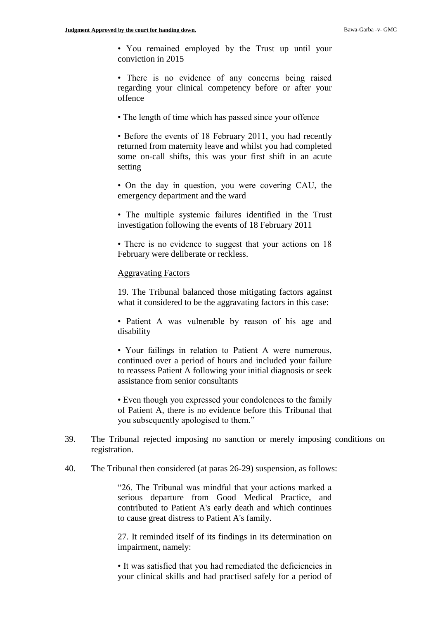• You remained employed by the Trust up until your conviction in 2015

• There is no evidence of any concerns being raised regarding your clinical competency before or after your offence

• The length of time which has passed since your offence

• Before the events of 18 February 2011, you had recently returned from maternity leave and whilst you had completed some on-call shifts, this was your first shift in an acute setting

• On the day in question, you were covering CAU, the emergency department and the ward

• The multiple systemic failures identified in the Trust investigation following the events of 18 February 2011

• There is no evidence to suggest that your actions on 18 February were deliberate or reckless.

#### Aggravating Factors

19. The Tribunal balanced those mitigating factors against what it considered to be the aggravating factors in this case:

• Patient A was vulnerable by reason of his age and disability

• Your failings in relation to Patient A were numerous, continued over a period of hours and included your failure to reassess Patient A following your initial diagnosis or seek assistance from senior consultants

• Even though you expressed your condolences to the family of Patient A, there is no evidence before this Tribunal that you subsequently apologised to them."

- 39. The Tribunal rejected imposing no sanction or merely imposing conditions on registration.
- 40. The Tribunal then considered (at paras 26-29) suspension, as follows:

"26. The Tribunal was mindful that your actions marked a serious departure from Good Medical Practice, and contributed to Patient A's early death and which continues to cause great distress to Patient A's family.

27. It reminded itself of its findings in its determination on impairment, namely:

• It was satisfied that you had remediated the deficiencies in your clinical skills and had practised safely for a period of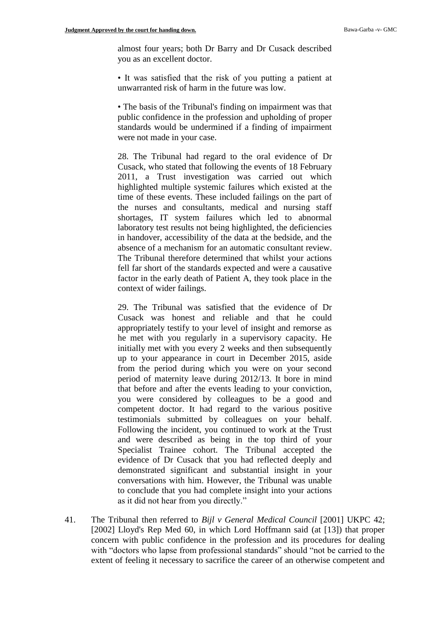almost four years; both Dr Barry and Dr Cusack described you as an excellent doctor.

• It was satisfied that the risk of you putting a patient at unwarranted risk of harm in the future was low.

• The basis of the Tribunal's finding on impairment was that public confidence in the profession and upholding of proper standards would be undermined if a finding of impairment were not made in your case.

28. The Tribunal had regard to the oral evidence of Dr Cusack, who stated that following the events of 18 February 2011, a Trust investigation was carried out which highlighted multiple systemic failures which existed at the time of these events. These included failings on the part of the nurses and consultants, medical and nursing staff shortages, IT system failures which led to abnormal laboratory test results not being highlighted, the deficiencies in handover, accessibility of the data at the bedside, and the absence of a mechanism for an automatic consultant review. The Tribunal therefore determined that whilst your actions fell far short of the standards expected and were a causative factor in the early death of Patient A, they took place in the context of wider failings.

29. The Tribunal was satisfied that the evidence of Dr Cusack was honest and reliable and that he could appropriately testify to your level of insight and remorse as he met with you regularly in a supervisory capacity. He initially met with you every 2 weeks and then subsequently up to your appearance in court in December 2015, aside from the period during which you were on your second period of maternity leave during 2012/13. It bore in mind that before and after the events leading to your conviction, you were considered by colleagues to be a good and competent doctor. It had regard to the various positive testimonials submitted by colleagues on your behalf. Following the incident, you continued to work at the Trust and were described as being in the top third of your Specialist Trainee cohort. The Tribunal accepted the evidence of Dr Cusack that you had reflected deeply and demonstrated significant and substantial insight in your conversations with him. However, the Tribunal was unable to conclude that you had complete insight into your actions as it did not hear from you directly."

41. The Tribunal then referred to *Bijl v General Medical Council* [2001] UKPC 42; [2002] Lloyd's Rep Med 60, in which Lord Hoffmann said (at [13]) that proper concern with public confidence in the profession and its procedures for dealing with "doctors who lapse from professional standards" should "not be carried to the extent of feeling it necessary to sacrifice the career of an otherwise competent and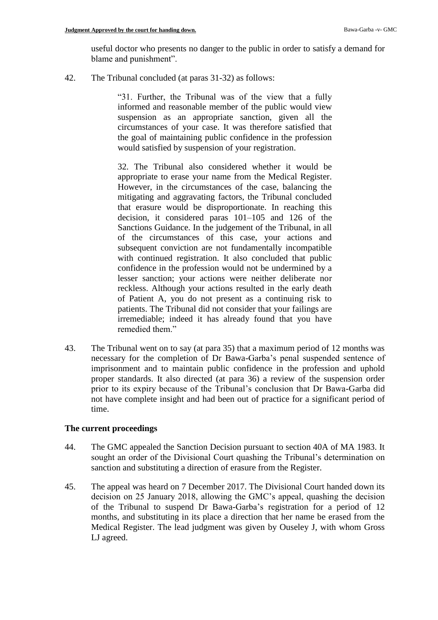useful doctor who presents no danger to the public in order to satisfy a demand for blame and punishment".

42. The Tribunal concluded (at paras 31-32) as follows:

"31. Further, the Tribunal was of the view that a fully informed and reasonable member of the public would view suspension as an appropriate sanction, given all the circumstances of your case. It was therefore satisfied that the goal of maintaining public confidence in the profession would satisfied by suspension of your registration.

32. The Tribunal also considered whether it would be appropriate to erase your name from the Medical Register. However, in the circumstances of the case, balancing the mitigating and aggravating factors, the Tribunal concluded that erasure would be disproportionate. In reaching this decision, it considered paras 101–105 and 126 of the Sanctions Guidance. In the judgement of the Tribunal, in all of the circumstances of this case, your actions and subsequent conviction are not fundamentally incompatible with continued registration. It also concluded that public confidence in the profession would not be undermined by a lesser sanction; your actions were neither deliberate nor reckless. Although your actions resulted in the early death of Patient A, you do not present as a continuing risk to patients. The Tribunal did not consider that your failings are irremediable; indeed it has already found that you have remedied them."

43. The Tribunal went on to say (at para 35) that a maximum period of 12 months was necessary for the completion of Dr Bawa-Garba's penal suspended sentence of imprisonment and to maintain public confidence in the profession and uphold proper standards. It also directed (at para 36) a review of the suspension order prior to its expiry because of the Tribunal's conclusion that Dr Bawa-Garba did not have complete insight and had been out of practice for a significant period of time.

## **The current proceedings**

- 44. The GMC appealed the Sanction Decision pursuant to section 40A of MA 1983. It sought an order of the Divisional Court quashing the Tribunal's determination on sanction and substituting a direction of erasure from the Register.
- 45. The appeal was heard on 7 December 2017. The Divisional Court handed down its decision on 25 January 2018, allowing the GMC's appeal, quashing the decision of the Tribunal to suspend Dr Bawa-Garba's registration for a period of 12 months, and substituting in its place a direction that her name be erased from the Medical Register. The lead judgment was given by Ouseley J, with whom Gross LJ agreed.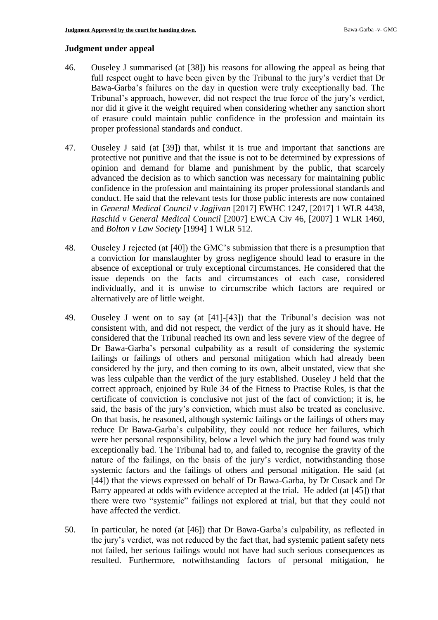#### **Judgment under appeal**

- 46. Ouseley J summarised (at [38]) his reasons for allowing the appeal as being that full respect ought to have been given by the Tribunal to the jury's verdict that Dr Bawa-Garba's failures on the day in question were truly exceptionally bad. The Tribunal's approach, however, did not respect the true force of the jury's verdict, nor did it give it the weight required when considering whether any sanction short of erasure could maintain public confidence in the profession and maintain its proper professional standards and conduct.
- 47. Ouseley J said (at [39]) that, whilst it is true and important that sanctions are protective not punitive and that the issue is not to be determined by expressions of opinion and demand for blame and punishment by the public, that scarcely advanced the decision as to which sanction was necessary for maintaining public confidence in the profession and maintaining its proper professional standards and conduct. He said that the relevant tests for those public interests are now contained in *General Medical Council v Jagjivan* [2017] EWHC 1247, [2017] 1 WLR 4438, *Raschid v General Medical Council* [2007] EWCA Civ 46, [2007] 1 WLR 1460, and *Bolton v Law Society* [1994] 1 WLR 512*.*
- 48. Ouseley J rejected (at [40]) the GMC's submission that there is a presumption that a conviction for manslaughter by gross negligence should lead to erasure in the absence of exceptional or truly exceptional circumstances. He considered that the issue depends on the facts and circumstances of each case, considered individually, and it is unwise to circumscribe which factors are required or alternatively are of little weight.
- 49. Ouseley J went on to say (at [41]-[43]) that the Tribunal's decision was not consistent with, and did not respect, the verdict of the jury as it should have. He considered that the Tribunal reached its own and less severe view of the degree of Dr Bawa-Garba's personal culpability as a result of considering the systemic failings or failings of others and personal mitigation which had already been considered by the jury, and then coming to its own, albeit unstated, view that she was less culpable than the verdict of the jury established. Ouseley J held that the correct approach, enjoined by Rule 34 of the Fitness to Practise Rules, is that the certificate of conviction is conclusive not just of the fact of conviction; it is, he said, the basis of the jury's conviction, which must also be treated as conclusive. On that basis, he reasoned, although systemic failings or the failings of others may reduce Dr Bawa-Garba's culpability, they could not reduce her failures, which were her personal responsibility, below a level which the jury had found was truly exceptionally bad. The Tribunal had to, and failed to, recognise the gravity of the nature of the failings, on the basis of the jury's verdict, notwithstanding those systemic factors and the failings of others and personal mitigation. He said (at [44]) that the views expressed on behalf of Dr Bawa-Garba, by Dr Cusack and Dr Barry appeared at odds with evidence accepted at the trial. He added (at [45]) that there were two "systemic" failings not explored at trial, but that they could not have affected the verdict.
- 50. In particular, he noted (at [46]) that Dr Bawa-Garba's culpability, as reflected in the jury's verdict, was not reduced by the fact that, had systemic patient safety nets not failed, her serious failings would not have had such serious consequences as resulted. Furthermore, notwithstanding factors of personal mitigation, he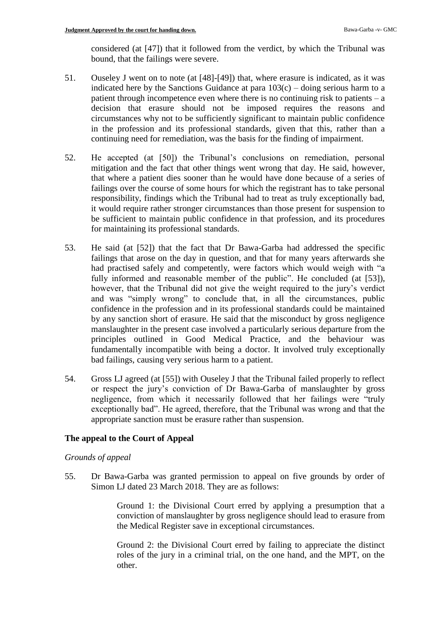considered (at [47]) that it followed from the verdict, by which the Tribunal was bound, that the failings were severe.

- 51. Ouseley J went on to note (at [48]-[49]) that, where erasure is indicated, as it was indicated here by the Sanctions Guidance at para  $103(c)$  – doing serious harm to a patient through incompetence even where there is no continuing risk to patients – a decision that erasure should not be imposed requires the reasons and circumstances why not to be sufficiently significant to maintain public confidence in the profession and its professional standards, given that this, rather than a continuing need for remediation, was the basis for the finding of impairment.
- 52. He accepted (at [50]) the Tribunal's conclusions on remediation, personal mitigation and the fact that other things went wrong that day. He said, however, that where a patient dies sooner than he would have done because of a series of failings over the course of some hours for which the registrant has to take personal responsibility, findings which the Tribunal had to treat as truly exceptionally bad, it would require rather stronger circumstances than those present for suspension to be sufficient to maintain public confidence in that profession, and its procedures for maintaining its professional standards.
- 53. He said (at [52]) that the fact that Dr Bawa-Garba had addressed the specific failings that arose on the day in question, and that for many years afterwards she had practised safely and competently, were factors which would weigh with "a fully informed and reasonable member of the public". He concluded (at [53]), however, that the Tribunal did not give the weight required to the jury's verdict and was "simply wrong" to conclude that, in all the circumstances, public confidence in the profession and in its professional standards could be maintained by any sanction short of erasure. He said that the misconduct by gross negligence manslaughter in the present case involved a particularly serious departure from the principles outlined in Good Medical Practice, and the behaviour was fundamentally incompatible with being a doctor. It involved truly exceptionally bad failings, causing very serious harm to a patient.
- 54. Gross LJ agreed (at [55]) with Ouseley J that the Tribunal failed properly to reflect or respect the jury's conviction of Dr Bawa-Garba of manslaughter by gross negligence, from which it necessarily followed that her failings were "truly exceptionally bad". He agreed, therefore, that the Tribunal was wrong and that the appropriate sanction must be erasure rather than suspension.

## **The appeal to the Court of Appeal**

#### *Grounds of appeal*

55. Dr Bawa-Garba was granted permission to appeal on five grounds by order of Simon LJ dated 23 March 2018. They are as follows:

> Ground 1: the Divisional Court erred by applying a presumption that a conviction of manslaughter by gross negligence should lead to erasure from the Medical Register save in exceptional circumstances.

> Ground 2: the Divisional Court erred by failing to appreciate the distinct roles of the jury in a criminal trial, on the one hand, and the MPT, on the other.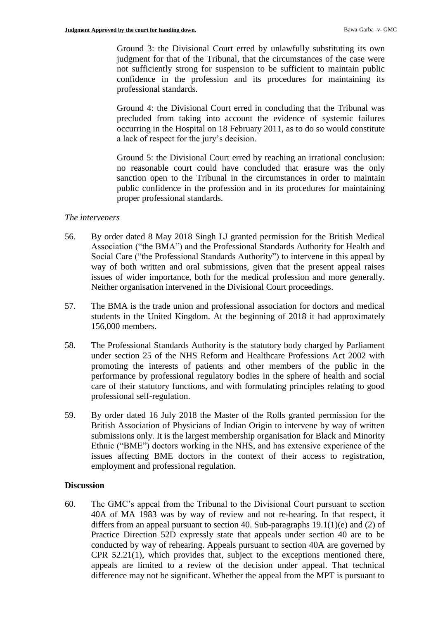Ground 3: the Divisional Court erred by unlawfully substituting its own judgment for that of the Tribunal, that the circumstances of the case were not sufficiently strong for suspension to be sufficient to maintain public confidence in the profession and its procedures for maintaining its professional standards.

Ground 4: the Divisional Court erred in concluding that the Tribunal was precluded from taking into account the evidence of systemic failures occurring in the Hospital on 18 February 2011, as to do so would constitute a lack of respect for the jury's decision.

Ground 5: the Divisional Court erred by reaching an irrational conclusion: no reasonable court could have concluded that erasure was the only sanction open to the Tribunal in the circumstances in order to maintain public confidence in the profession and in its procedures for maintaining proper professional standards.

## *The interveners*

- 56. By order dated 8 May 2018 Singh LJ granted permission for the British Medical Association ("the BMA") and the Professional Standards Authority for Health and Social Care ("the Professional Standards Authority") to intervene in this appeal by way of both written and oral submissions, given that the present appeal raises issues of wider importance, both for the medical profession and more generally. Neither organisation intervened in the Divisional Court proceedings.
- 57. The BMA is the trade union and professional association for doctors and medical students in the United Kingdom. At the beginning of 2018 it had approximately 156,000 members.
- 58. The Professional Standards Authority is the statutory body charged by Parliament under section 25 of the NHS Reform and Healthcare Professions Act 2002 with promoting the interests of patients and other members of the public in the performance by professional regulatory bodies in the sphere of health and social care of their statutory functions, and with formulating principles relating to good professional self-regulation.
- 59. By order dated 16 July 2018 the Master of the Rolls granted permission for the British Association of Physicians of Indian Origin to intervene by way of written submissions only. It is the largest membership organisation for Black and Minority Ethnic ("BME") doctors working in the NHS, and has extensive experience of the issues affecting BME doctors in the context of their access to registration, employment and professional regulation.

## **Discussion**

60. The GMC's appeal from the Tribunal to the Divisional Court pursuant to section 40A of MA 1983 was by way of review and not re-hearing. In that respect, it differs from an appeal pursuant to section 40. Sub-paragraphs 19.1(1)(e) and (2) of Practice Direction 52D expressly state that appeals under section 40 are to be conducted by way of rehearing. Appeals pursuant to section 40A are governed by CPR 52.21(1), which provides that, subject to the exceptions mentioned there, appeals are limited to a review of the decision under appeal. That technical difference may not be significant. Whether the appeal from the MPT is pursuant to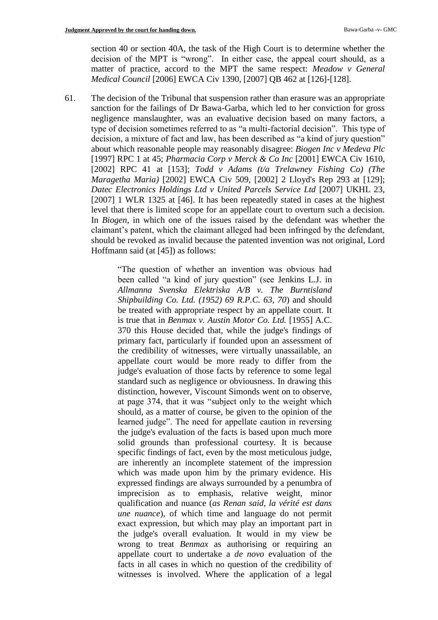section 40 or section 40A, the task of the High Court is to determine whether the decision of the MPT is "wrong". In either case, the appeal court should, as a matter of practice, accord to the MPT the same respect: *Meadow v General Medical Council* [2006] EWCA Civ 1390, [2007] QB 462 at [126]-[128].

61. The decision of the Tribunal that suspension rather than erasure was an appropriate sanction for the failings of Dr Bawa-Garba, which led to her conviction for gross negligence manslaughter, was an evaluative decision based on many factors, a type of decision sometimes referred to as "a multi-factorial decision". This type of decision, a mixture of fact and law, has been described as "a kind of jury question" about which reasonable people may reasonably disagree: *Biogen Inc v Medeva Plc* [1997] RPC 1 at 45; *Pharmacia Corp v Merck & Co Inc* [2001] EWCA Civ 1610, [2002] RPC 41 at [153]; *Todd v Adams (t/a Trelawney Fishing Co) (The Maragetha Maria)* [2002] EWCA Civ 509, [2002] 2 Lloyd's Rep 293 at [129]; *Datec Electronics Holdings Ltd v United Parcels Service Ltd* [2007] UKHL 23, [2007] 1 WLR 1325 at [46]. It has been repeatedly stated in cases at the highest level that there is limited scope for an appellate court to overturn such a decision. In *Biogen*, in which one of the issues raised by the defendant was whether the claimant's patent, which the claimant alleged had been infringed by the defendant, should be revoked as invalid because the patented invention was not original, Lord Hoffmann said (at [45]) as follows:

> "The question of whether an invention was obvious had been called "a kind of jury question" (see Jenkins L.J. in *Allmanna Svenska Elektriska A/B v. The Burntisland Shipbuilding Co. Ltd. (1952) 69 R.P.C. 63, 70*) and should be treated with appropriate respect by an appellate court. It is true that in *Benmax v. Austin Motor Co. Ltd.* [1955] A.C. 370 this House decided that, while the judge's findings of primary fact, particularly if founded upon an assessment of the credibility of witnesses, were virtually unassailable, an appellate court would be more ready to differ from the judge's evaluation of those facts by reference to some legal standard such as negligence or obviousness. In drawing this distinction, however, Viscount Simonds went on to observe, at page 374, that it was "subject only to the weight which should, as a matter of course, be given to the opinion of the learned judge". The need for appellate caution in reversing the judge's evaluation of the facts is based upon much more solid grounds than professional courtesy. It is because specific findings of fact, even by the most meticulous judge, are inherently an incomplete statement of the impression which was made upon him by the primary evidence. His expressed findings are always surrounded by a penumbra of imprecision as to emphasis, relative weight, minor qualification and nuance (*as Renan said, la vérité est dans une nuance*), of which time and language do not permit exact expression, but which may play an important part in the judge's overall evaluation. It would in my view be wrong to treat *Benmax* as authorising or requiring an appellate court to undertake a *de novo* evaluation of the facts in all cases in which no question of the credibility of witnesses is involved. Where the application of a legal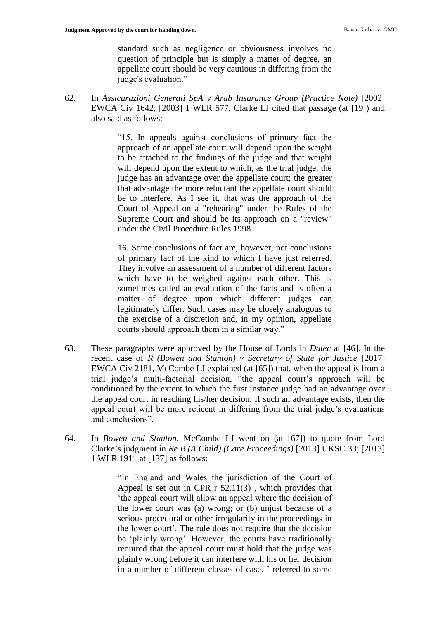standard such as negligence or obviousness involves no question of principle but is simply a matter of degree, an appellate court should be very cautious in differing from the judge's evaluation."

62. In *Assicurazioni Generali SpA v Arab Insurance Group (Practice Note)* [2002] EWCA Civ 1642, [2003] 1 WLR 577, Clarke LJ cited that passage (at [19]) and also said as follows:

> "15. In appeals against conclusions of primary fact the approach of an appellate court will depend upon the weight to be attached to the findings of the judge and that weight will depend upon the extent to which, as the trial judge, the judge has an advantage over the appellate court; the greater that advantage the more reluctant the appellate court should be to interfere. As I see it, that was the approach of the Court of Appeal on a "rehearing" under the Rules of the Supreme Court and should be its approach on a "review" under the Civil Procedure Rules 1998.

> 16. Some conclusions of fact are, however, not conclusions of primary fact of the kind to which I have just referred. They involve an assessment of a number of different factors which have to be weighed against each other. This is sometimes called an evaluation of the facts and is often a matter of degree upon which different judges can legitimately differ. Such cases may be closely analogous to the exercise of a discretion and, in my opinion, appellate courts should approach them in a similar way."

- 63. These paragraphs were approved by the House of Lords in *Datec* at [46]. In the recent case of *R (Bowen and Stanton) v Secretary of State for Justice* [2017] EWCA Civ 2181, McCombe LJ explained (at [65]) that, when the appeal is from a trial judge's multi-factorial decision, "the appeal court's approach will be conditioned by the extent to which the first instance judge had an advantage over the appeal court in reaching his/her decision. If such an advantage exists, then the appeal court will be more reticent in differing from the trial judge's evaluations and conclusions".
- 64. In *Bowen and Stanton*, McCombe LJ went on (at [67]) to quote from Lord Clarke's judgment in *Re B (A Child) (Care Proceedings)* [2013] UKSC 33; [2013] 1 WLR 1911 at [137] as follows:

"In England and Wales the jurisdiction of the Court of Appeal is set out in CPR r 52.11(3) , which provides that 'the appeal court will allow an appeal where the decision of the lower court was (a) wrong; or (b) unjust because of a serious procedural or other irregularity in the proceedings in the lower court'. The rule does not require that the decision be 'plainly wrong'. However, the courts have traditionally required that the appeal court must hold that the judge was plainly wrong before it can interfere with his or her decision in a number of different classes of case. I referred to some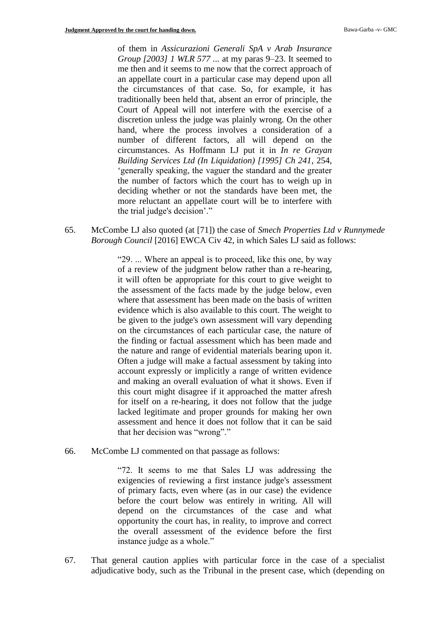of them in *Assicurazioni Generali SpA v Arab Insurance Group [2003] 1 WLR 577 ...* at my paras 9–23. It seemed to me then and it seems to me now that the correct approach of an appellate court in a particular case may depend upon all the circumstances of that case. So, for example, it has traditionally been held that, absent an error of principle, the Court of Appeal will not interfere with the exercise of a discretion unless the judge was plainly wrong. On the other hand, where the process involves a consideration of a number of different factors, all will depend on the circumstances. As Hoffmann LJ put it in *In re Grayan Building Services Ltd (In Liquidation) [1995] Ch 241*, 254, 'generally speaking, the vaguer the standard and the greater the number of factors which the court has to weigh up in deciding whether or not the standards have been met, the more reluctant an appellate court will be to interfere with the trial judge's decision'."

65. McCombe LJ also quoted (at [71]) the case of *Smech Properties Ltd v Runnymede Borough Council* [2016] EWCA Civ 42, in which Sales LJ said as follows:

> "29. ... Where an appeal is to proceed, like this one, by way of a review of the judgment below rather than a re-hearing, it will often be appropriate for this court to give weight to the assessment of the facts made by the judge below, even where that assessment has been made on the basis of written evidence which is also available to this court. The weight to be given to the judge's own assessment will vary depending on the circumstances of each particular case, the nature of the finding or factual assessment which has been made and the nature and range of evidential materials bearing upon it. Often a judge will make a factual assessment by taking into account expressly or implicitly a range of written evidence and making an overall evaluation of what it shows. Even if this court might disagree if it approached the matter afresh for itself on a re-hearing, it does not follow that the judge lacked legitimate and proper grounds for making her own assessment and hence it does not follow that it can be said that her decision was "wrong"."

66. McCombe LJ commented on that passage as follows:

"72. It seems to me that Sales LJ was addressing the exigencies of reviewing a first instance judge's assessment of primary facts, even where (as in our case) the evidence before the court below was entirely in writing. All will depend on the circumstances of the case and what opportunity the court has, in reality, to improve and correct the overall assessment of the evidence before the first instance judge as a whole."

67. That general caution applies with particular force in the case of a specialist adjudicative body, such as the Tribunal in the present case, which (depending on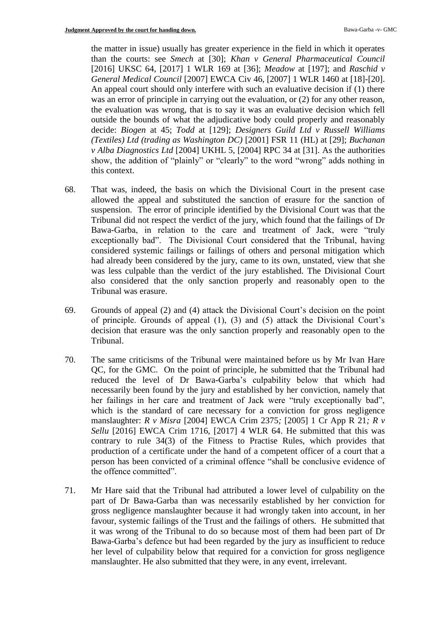the matter in issue) usually has greater experience in the field in which it operates than the courts: see *Smech* at [30]; *Khan v General Pharmaceutical Council*  [2016] UKSC 64, [2017] 1 WLR 169 at [36]; *Meadow* at [197]; and *Raschid v General Medical Council* [2007] EWCA Civ 46, [2007] 1 WLR 1460 at [18]-[20]. An appeal court should only interfere with such an evaluative decision if (1) there was an error of principle in carrying out the evaluation, or  $(2)$  for any other reason, the evaluation was wrong, that is to say it was an evaluative decision which fell outside the bounds of what the adjudicative body could properly and reasonably decide: *Biogen* at 45; *Todd* at [129]; *Designers Guild Ltd v Russell Williams (Textiles) Ltd (trading as Washington DC)* [2001] FSR 11 (HL) at [29]; *Buchanan v Alba Diagnostics Ltd* [2004] UKHL 5, [2004] RPC 34 at [31]. As the authorities show, the addition of "plainly" or "clearly" to the word "wrong" adds nothing in this context.

- 68. That was, indeed, the basis on which the Divisional Court in the present case allowed the appeal and substituted the sanction of erasure for the sanction of suspension. The error of principle identified by the Divisional Court was that the Tribunal did not respect the verdict of the jury, which found that the failings of Dr Bawa-Garba, in relation to the care and treatment of Jack, were "truly exceptionally bad". The Divisional Court considered that the Tribunal, having considered systemic failings or failings of others and personal mitigation which had already been considered by the jury, came to its own, unstated, view that she was less culpable than the verdict of the jury established. The Divisional Court also considered that the only sanction properly and reasonably open to the Tribunal was erasure.
- 69. Grounds of appeal (2) and (4) attack the Divisional Court's decision on the point of principle. Grounds of appeal (1), (3) and (5) attack the Divisional Court's decision that erasure was the only sanction properly and reasonably open to the Tribunal.
- 70. The same criticisms of the Tribunal were maintained before us by Mr Ivan Hare QC, for the GMC. On the point of principle, he submitted that the Tribunal had reduced the level of Dr Bawa-Garba's culpability below that which had necessarily been found by the jury and established by her conviction, namely that her failings in her care and treatment of Jack were "truly exceptionally bad", which is the standard of care necessary for a conviction for gross negligence manslaughter: *R v Misra* [2004] EWCA Crim 2375*;* [2005] 1 Cr App R 21*; R v Sellu* [2016] EWCA Crim 1716, [2017] 4 WLR 64. He submitted that this was contrary to rule 34(3) of the Fitness to Practise Rules, which provides that production of a certificate under the hand of a competent officer of a court that a person has been convicted of a criminal offence "shall be conclusive evidence of the offence committed".
- 71. Mr Hare said that the Tribunal had attributed a lower level of culpability on the part of Dr Bawa-Garba than was necessarily established by her conviction for gross negligence manslaughter because it had wrongly taken into account, in her favour, systemic failings of the Trust and the failings of others. He submitted that it was wrong of the Tribunal to do so because most of them had been part of Dr Bawa-Garba's defence but had been regarded by the jury as insufficient to reduce her level of culpability below that required for a conviction for gross negligence manslaughter. He also submitted that they were, in any event, irrelevant.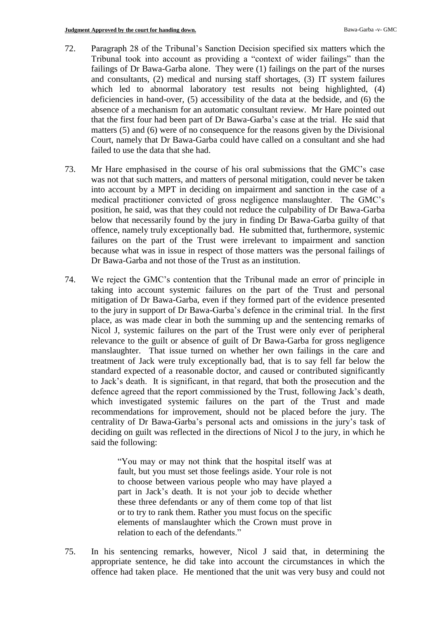- 72. Paragraph 28 of the Tribunal's Sanction Decision specified six matters which the Tribunal took into account as providing a "context of wider failings" than the failings of Dr Bawa-Garba alone. They were (1) failings on the part of the nurses and consultants, (2) medical and nursing staff shortages, (3) IT system failures which led to abnormal laboratory test results not being highlighted, (4) deficiencies in hand-over, (5) accessibility of the data at the bedside, and (6) the absence of a mechanism for an automatic consultant review. Mr Hare pointed out that the first four had been part of Dr Bawa-Garba's case at the trial. He said that matters (5) and (6) were of no consequence for the reasons given by the Divisional Court, namely that Dr Bawa-Garba could have called on a consultant and she had failed to use the data that she had.
- 73. Mr Hare emphasised in the course of his oral submissions that the GMC's case was not that such matters, and matters of personal mitigation, could never be taken into account by a MPT in deciding on impairment and sanction in the case of a medical practitioner convicted of gross negligence manslaughter. The GMC's position, he said, was that they could not reduce the culpability of Dr Bawa-Garba below that necessarily found by the jury in finding Dr Bawa-Garba guilty of that offence, namely truly exceptionally bad. He submitted that, furthermore, systemic failures on the part of the Trust were irrelevant to impairment and sanction because what was in issue in respect of those matters was the personal failings of Dr Bawa-Garba and not those of the Trust as an institution.
- 74. We reject the GMC's contention that the Tribunal made an error of principle in taking into account systemic failures on the part of the Trust and personal mitigation of Dr Bawa-Garba, even if they formed part of the evidence presented to the jury in support of Dr Bawa-Garba's defence in the criminal trial. In the first place, as was made clear in both the summing up and the sentencing remarks of Nicol J, systemic failures on the part of the Trust were only ever of peripheral relevance to the guilt or absence of guilt of Dr Bawa-Garba for gross negligence manslaughter. That issue turned on whether her own failings in the care and treatment of Jack were truly exceptionally bad, that is to say fell far below the standard expected of a reasonable doctor, and caused or contributed significantly to Jack's death. It is significant, in that regard, that both the prosecution and the defence agreed that the report commissioned by the Trust, following Jack's death, which investigated systemic failures on the part of the Trust and made recommendations for improvement, should not be placed before the jury. The centrality of Dr Bawa-Garba's personal acts and omissions in the jury's task of deciding on guilt was reflected in the directions of Nicol J to the jury, in which he said the following:

"You may or may not think that the hospital itself was at fault, but you must set those feelings aside. Your role is not to choose between various people who may have played a part in Jack's death. It is not your job to decide whether these three defendants or any of them come top of that list or to try to rank them. Rather you must focus on the specific elements of manslaughter which the Crown must prove in relation to each of the defendants."

75. In his sentencing remarks, however, Nicol J said that, in determining the appropriate sentence, he did take into account the circumstances in which the offence had taken place. He mentioned that the unit was very busy and could not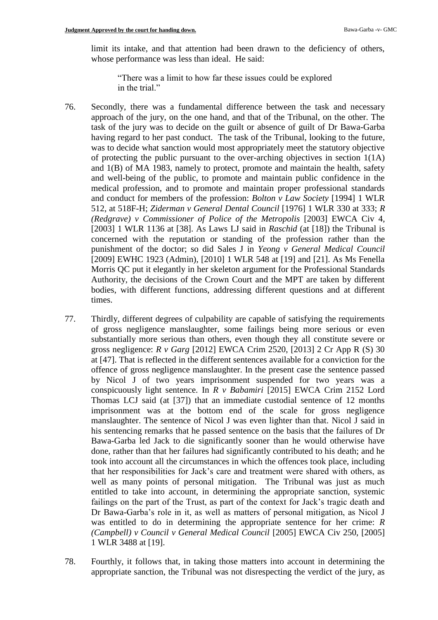limit its intake, and that attention had been drawn to the deficiency of others, whose performance was less than ideal. He said:

"There was a limit to how far these issues could be explored in the trial."

- 76. Secondly, there was a fundamental difference between the task and necessary approach of the jury, on the one hand, and that of the Tribunal, on the other. The task of the jury was to decide on the guilt or absence of guilt of Dr Bawa-Garba having regard to her past conduct. The task of the Tribunal, looking to the future, was to decide what sanction would most appropriately meet the statutory objective of protecting the public pursuant to the over-arching objectives in section 1(1A) and 1(B) of MA 1983, namely to protect, promote and maintain the health, safety and well-being of the public, to promote and maintain public confidence in the medical profession, and to promote and maintain proper professional standards and conduct for members of the profession: *Bolton v Law Society* [1994] 1 WLR 512, at 518F-H; *Ziderman v General Dental Council* [1976] 1 WLR 330 at 333; *R (Redgrave) v Commissioner of Police of the Metropolis* [2003] EWCA Civ 4, [2003] 1 WLR 1136 at [38]. As Laws LJ said in *Raschid* (at [18]) the Tribunal is concerned with the reputation or standing of the profession rather than the punishment of the doctor; so did Sales J in *Yeong v General Medical Council*  [2009] EWHC 1923 (Admin), [2010] 1 WLR 548 at [19] and [21]. As Ms Fenella Morris QC put it elegantly in her skeleton argument for the Professional Standards Authority, the decisions of the Crown Court and the MPT are taken by different bodies, with different functions, addressing different questions and at different times.
- 77. Thirdly, different degrees of culpability are capable of satisfying the requirements of gross negligence manslaughter, some failings being more serious or even substantially more serious than others, even though they all constitute severe or gross negligence: *R v Garg* [2012] EWCA Crim 2520, [2013] 2 Cr App R (S) 30 at [47]. That is reflected in the different sentences available for a conviction for the offence of gross negligence manslaughter. In the present case the sentence passed by Nicol J of two years imprisonment suspended for two years was a conspicuously light sentence. In *R v Babamiri* [2015] EWCA Crim 2152 Lord Thomas LCJ said (at [37]) that an immediate custodial sentence of 12 months imprisonment was at the bottom end of the scale for gross negligence manslaughter. The sentence of Nicol J was even lighter than that. Nicol J said in his sentencing remarks that he passed sentence on the basis that the failures of Dr Bawa-Garba led Jack to die significantly sooner than he would otherwise have done, rather than that her failures had significantly contributed to his death; and he took into account all the circumstances in which the offences took place, including that her responsibilities for Jack's care and treatment were shared with others, as well as many points of personal mitigation. The Tribunal was just as much entitled to take into account, in determining the appropriate sanction, systemic failings on the part of the Trust, as part of the context for Jack's tragic death and Dr Bawa-Garba's role in it, as well as matters of personal mitigation, as Nicol J was entitled to do in determining the appropriate sentence for her crime: *R (Campbell) v Council v General Medical Council* [2005] EWCA Civ 250, [2005] 1 WLR 3488 at [19].
- 78. Fourthly, it follows that, in taking those matters into account in determining the appropriate sanction, the Tribunal was not disrespecting the verdict of the jury, as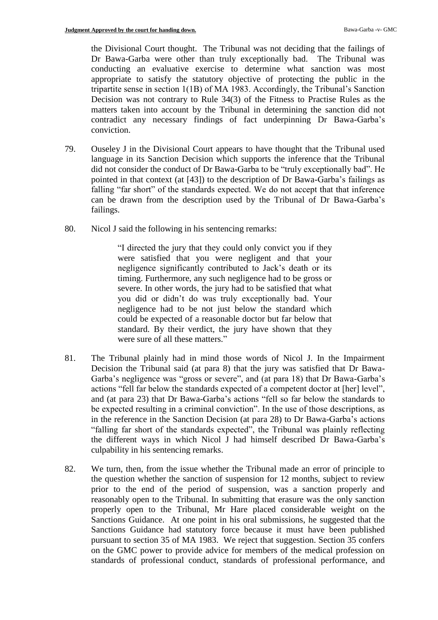the Divisional Court thought. The Tribunal was not deciding that the failings of Dr Bawa-Garba were other than truly exceptionally bad. The Tribunal was conducting an evaluative exercise to determine what sanction was most appropriate to satisfy the statutory objective of protecting the public in the tripartite sense in section 1(1B) of MA 1983. Accordingly, the Tribunal's Sanction Decision was not contrary to Rule 34(3) of the Fitness to Practise Rules as the matters taken into account by the Tribunal in determining the sanction did not contradict any necessary findings of fact underpinning Dr Bawa-Garba's conviction.

- 79. Ouseley J in the Divisional Court appears to have thought that the Tribunal used language in its Sanction Decision which supports the inference that the Tribunal did not consider the conduct of Dr Bawa-Garba to be "truly exceptionally bad". He pointed in that context (at [43]) to the description of Dr Bawa-Garba's failings as falling "far short" of the standards expected. We do not accept that that inference can be drawn from the description used by the Tribunal of Dr Bawa-Garba's failings.
- 80. Nicol J said the following in his sentencing remarks:

"I directed the jury that they could only convict you if they were satisfied that you were negligent and that your negligence significantly contributed to Jack's death or its timing. Furthermore, any such negligence had to be gross or severe. In other words, the jury had to be satisfied that what you did or didn't do was truly exceptionally bad. Your negligence had to be not just below the standard which could be expected of a reasonable doctor but far below that standard. By their verdict, the jury have shown that they were sure of all these matters."

- 81. The Tribunal plainly had in mind those words of Nicol J. In the Impairment Decision the Tribunal said (at para 8) that the jury was satisfied that Dr Bawa-Garba's negligence was "gross or severe", and (at para 18) that Dr Bawa-Garba's actions "fell far below the standards expected of a competent doctor at [her] level", and (at para 23) that Dr Bawa-Garba's actions "fell so far below the standards to be expected resulting in a criminal conviction". In the use of those descriptions, as in the reference in the Sanction Decision (at para 28) to Dr Bawa-Garba's actions "falling far short of the standards expected", the Tribunal was plainly reflecting the different ways in which Nicol J had himself described Dr Bawa-Garba's culpability in his sentencing remarks.
- 82. We turn, then, from the issue whether the Tribunal made an error of principle to the question whether the sanction of suspension for 12 months, subject to review prior to the end of the period of suspension, was a sanction properly and reasonably open to the Tribunal. In submitting that erasure was the only sanction properly open to the Tribunal, Mr Hare placed considerable weight on the Sanctions Guidance. At one point in his oral submissions, he suggested that the Sanctions Guidance had statutory force because it must have been published pursuant to section 35 of MA 1983. We reject that suggestion. Section 35 confers on the GMC power to provide advice for members of the medical profession on standards of professional conduct, standards of professional performance, and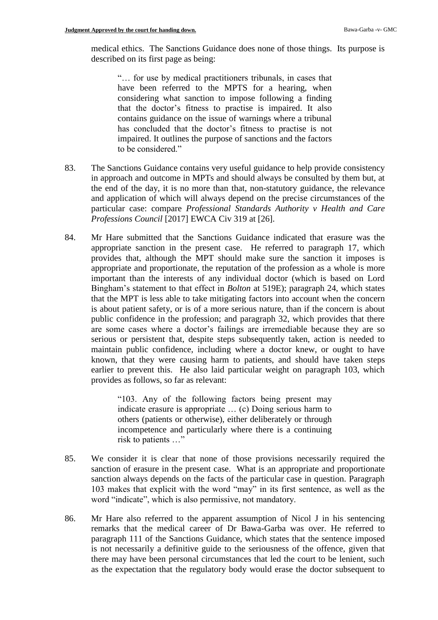medical ethics. The Sanctions Guidance does none of those things. Its purpose is described on its first page as being:

"… for use by medical practitioners tribunals, in cases that have been referred to the MPTS for a hearing, when considering what sanction to impose following a finding that the doctor's fitness to practise is impaired. It also contains guidance on the issue of warnings where a tribunal has concluded that the doctor's fitness to practise is not impaired. It outlines the purpose of sanctions and the factors to be considered."

- 83. The Sanctions Guidance contains very useful guidance to help provide consistency in approach and outcome in MPTs and should always be consulted by them but, at the end of the day, it is no more than that, non-statutory guidance, the relevance and application of which will always depend on the precise circumstances of the particular case: compare *Professional Standards Authority v Health and Care Professions Council* [2017] EWCA Civ 319 at [26].
- 84. Mr Hare submitted that the Sanctions Guidance indicated that erasure was the appropriate sanction in the present case. He referred to paragraph 17, which provides that, although the MPT should make sure the sanction it imposes is appropriate and proportionate, the reputation of the profession as a whole is more important than the interests of any individual doctor (which is based on Lord Bingham's statement to that effect in *Bolton* at 519E); paragraph 24, which states that the MPT is less able to take mitigating factors into account when the concern is about patient safety, or is of a more serious nature, than if the concern is about public confidence in the profession; and paragraph 32, which provides that there are some cases where a doctor's failings are irremediable because they are so serious or persistent that, despite steps subsequently taken, action is needed to maintain public confidence, including where a doctor knew, or ought to have known, that they were causing harm to patients, and should have taken steps earlier to prevent this. He also laid particular weight on paragraph 103, which provides as follows, so far as relevant:

"103. Any of the following factors being present may indicate erasure is appropriate … (c) Doing serious harm to others (patients or otherwise), either deliberately or through incompetence and particularly where there is a continuing risk to patients …"

- 85. We consider it is clear that none of those provisions necessarily required the sanction of erasure in the present case. What is an appropriate and proportionate sanction always depends on the facts of the particular case in question. Paragraph 103 makes that explicit with the word "may" in its first sentence, as well as the word "indicate", which is also permissive, not mandatory.
- 86. Mr Hare also referred to the apparent assumption of Nicol J in his sentencing remarks that the medical career of Dr Bawa-Garba was over. He referred to paragraph 111 of the Sanctions Guidance, which states that the sentence imposed is not necessarily a definitive guide to the seriousness of the offence, given that there may have been personal circumstances that led the court to be lenient, such as the expectation that the regulatory body would erase the doctor subsequent to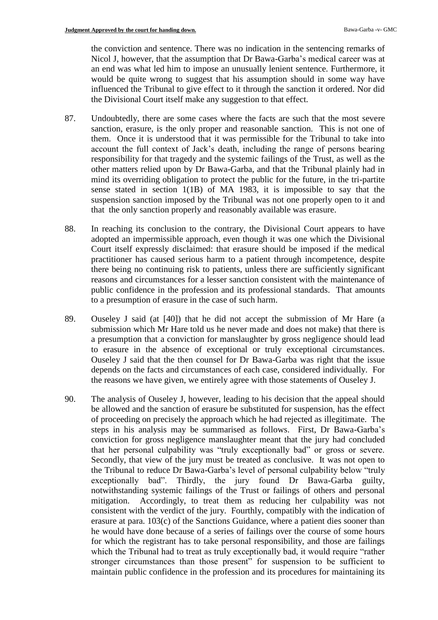the conviction and sentence. There was no indication in the sentencing remarks of Nicol J, however, that the assumption that Dr Bawa-Garba's medical career was at an end was what led him to impose an unusually lenient sentence. Furthermore, it would be quite wrong to suggest that his assumption should in some way have influenced the Tribunal to give effect to it through the sanction it ordered. Nor did the Divisional Court itself make any suggestion to that effect.

- 87. Undoubtedly, there are some cases where the facts are such that the most severe sanction, erasure, is the only proper and reasonable sanction. This is not one of them. Once it is understood that it was permissible for the Tribunal to take into account the full context of Jack's death, including the range of persons bearing responsibility for that tragedy and the systemic failings of the Trust, as well as the other matters relied upon by Dr Bawa-Garba, and that the Tribunal plainly had in mind its overriding obligation to protect the public for the future, in the tri-partite sense stated in section 1(1B) of MA 1983, it is impossible to say that the suspension sanction imposed by the Tribunal was not one properly open to it and that the only sanction properly and reasonably available was erasure.
- 88. In reaching its conclusion to the contrary, the Divisional Court appears to have adopted an impermissible approach, even though it was one which the Divisional Court itself expressly disclaimed: that erasure should be imposed if the medical practitioner has caused serious harm to a patient through incompetence, despite there being no continuing risk to patients, unless there are sufficiently significant reasons and circumstances for a lesser sanction consistent with the maintenance of public confidence in the profession and its professional standards. That amounts to a presumption of erasure in the case of such harm.
- 89. Ouseley J said (at [40]) that he did not accept the submission of Mr Hare (a submission which Mr Hare told us he never made and does not make) that there is a presumption that a conviction for manslaughter by gross negligence should lead to erasure in the absence of exceptional or truly exceptional circumstances. Ouseley J said that the then counsel for Dr Bawa-Garba was right that the issue depends on the facts and circumstances of each case, considered individually. For the reasons we have given, we entirely agree with those statements of Ouseley J.
- 90. The analysis of Ouseley J, however, leading to his decision that the appeal should be allowed and the sanction of erasure be substituted for suspension, has the effect of proceeding on precisely the approach which he had rejected as illegitimate. The steps in his analysis may be summarised as follows. First, Dr Bawa-Garba's conviction for gross negligence manslaughter meant that the jury had concluded that her personal culpability was "truly exceptionally bad" or gross or severe. Secondly, that view of the jury must be treated as conclusive. It was not open to the Tribunal to reduce Dr Bawa-Garba's level of personal culpability below "truly exceptionally bad". Thirdly, the jury found Dr Bawa-Garba guilty, notwithstanding systemic failings of the Trust or failings of others and personal mitigation. Accordingly, to treat them as reducing her culpability was not consistent with the verdict of the jury. Fourthly, compatibly with the indication of erasure at para. 103(c) of the Sanctions Guidance, where a patient dies sooner than he would have done because of a series of failings over the course of some hours for which the registrant has to take personal responsibility, and those are failings which the Tribunal had to treat as truly exceptionally bad, it would require "rather stronger circumstances than those present" for suspension to be sufficient to maintain public confidence in the profession and its procedures for maintaining its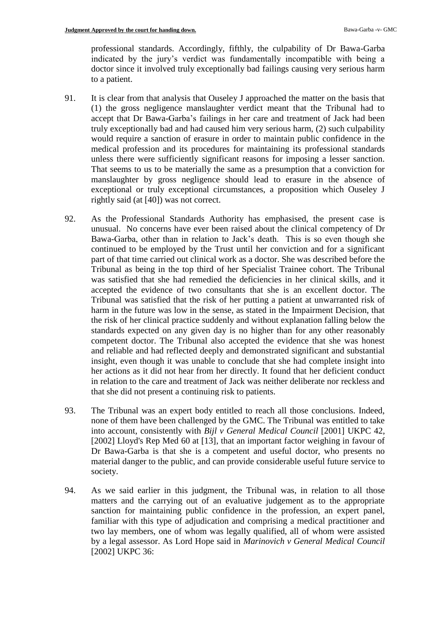professional standards. Accordingly, fifthly, the culpability of Dr Bawa-Garba indicated by the jury's verdict was fundamentally incompatible with being a doctor since it involved truly exceptionally bad failings causing very serious harm to a patient.

- 91. It is clear from that analysis that Ouseley J approached the matter on the basis that (1) the gross negligence manslaughter verdict meant that the Tribunal had to accept that Dr Bawa-Garba's failings in her care and treatment of Jack had been truly exceptionally bad and had caused him very serious harm, (2) such culpability would require a sanction of erasure in order to maintain public confidence in the medical profession and its procedures for maintaining its professional standards unless there were sufficiently significant reasons for imposing a lesser sanction. That seems to us to be materially the same as a presumption that a conviction for manslaughter by gross negligence should lead to erasure in the absence of exceptional or truly exceptional circumstances, a proposition which Ouseley J rightly said (at [40]) was not correct.
- 92. As the Professional Standards Authority has emphasised, the present case is unusual. No concerns have ever been raised about the clinical competency of Dr Bawa-Garba, other than in relation to Jack's death. This is so even though she continued to be employed by the Trust until her conviction and for a significant part of that time carried out clinical work as a doctor. She was described before the Tribunal as being in the top third of her Specialist Trainee cohort. The Tribunal was satisfied that she had remedied the deficiencies in her clinical skills, and it accepted the evidence of two consultants that she is an excellent doctor. The Tribunal was satisfied that the risk of her putting a patient at unwarranted risk of harm in the future was low in the sense, as stated in the Impairment Decision, that the risk of her clinical practice suddenly and without explanation falling below the standards expected on any given day is no higher than for any other reasonably competent doctor. The Tribunal also accepted the evidence that she was honest and reliable and had reflected deeply and demonstrated significant and substantial insight, even though it was unable to conclude that she had complete insight into her actions as it did not hear from her directly. It found that her deficient conduct in relation to the care and treatment of Jack was neither deliberate nor reckless and that she did not present a continuing risk to patients.
- 93. The Tribunal was an expert body entitled to reach all those conclusions. Indeed, none of them have been challenged by the GMC. The Tribunal was entitled to take into account, consistently with *Bijl v General Medical Council* [2001] UKPC 42, [2002] Lloyd's Rep Med 60 at [13], that an important factor weighing in favour of Dr Bawa-Garba is that she is a competent and useful doctor, who presents no material danger to the public, and can provide considerable useful future service to society.
- 94. As we said earlier in this judgment, the Tribunal was, in relation to all those matters and the carrying out of an evaluative judgement as to the appropriate sanction for maintaining public confidence in the profession, an expert panel, familiar with this type of adjudication and comprising a medical practitioner and two lay members, one of whom was legally qualified, all of whom were assisted by a legal assessor. As Lord Hope said in *Marinovich v General Medical Council*  [2002] UKPC 36: